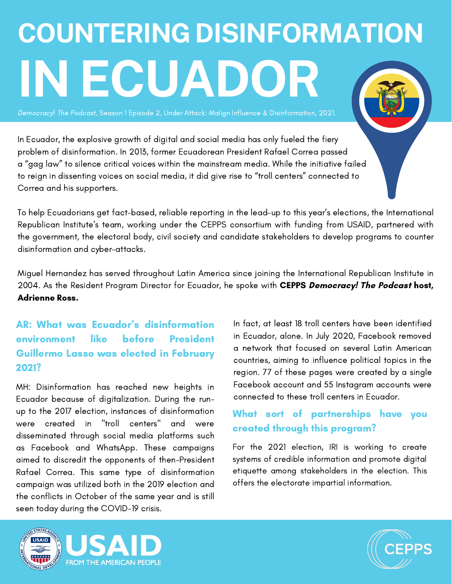# **COUNTERING DISINFORMATION IN ECUADOR**

Democracy! The Podcast, Season 1 Episode 2, Under Attack: Malign Influence & Disinformation, 2021.

In Ecuador, the explosive growth of digital and social media has only fueled the fiery problem of disinformation. In 2013, former Ecuadorean President Rafael Correa passed a "gag law" to silence critical voices within the mainstream media. While the initiative failed to reign in dissenting voices on social media, it did give rise to "troll centers" connected to Correa and his supporters.

To help Ecuadorians get fact-based, reliable reporting in the lead-up to this year's elections, the International Republican Institute's team, working under the CEPPS consortium with funding from USAID, partnered with the government, the electoral body, civil society and candidate stakeholders to develop programs to counter disinformation and cyber-attacks.

Miguel Hernandez has served throughout Latin America since joining the International Republican Institute in 2004. As the Resident Program Director for Ecuador, he spoke with CEPPS Democracy! The Podcast host, Adrienne Ross.

## AR: What was Ecuador's disinformation environment like before President Guillermo Lasso was elected in February 2021?

MH: Disinformation has reached new heights in Ecuador because of digitalization. During the runup to the 2017 election, instances of disinformation were created in "troll centers" and were disseminated through social media platforms such as Facebook and WhatsApp. These campaigns aimed to discredit the opponents of then-President Rafael Correa. This same type of disinformation campaign was utilized both in the 2019 election and the conflicts in October of the same year and is still seen today during the COVID-19 crisis.

In fact, at least 18 troll centers have been identified in Ecuador, alone. In July 2020, Facebook removed a network that focused on several Latin American countries, aiming to influence political topics in the region. 77 of these pages were created by a single Facebook account and 55 Instagram accounts were connected to these troll centers in Ecuador.

### What sort of partnerships have you created through this program?

For the 2021 election, IRI is working to create systems of credible information and promote digital etiquette among stakeholders in the election. This offers the electorate impartial information.